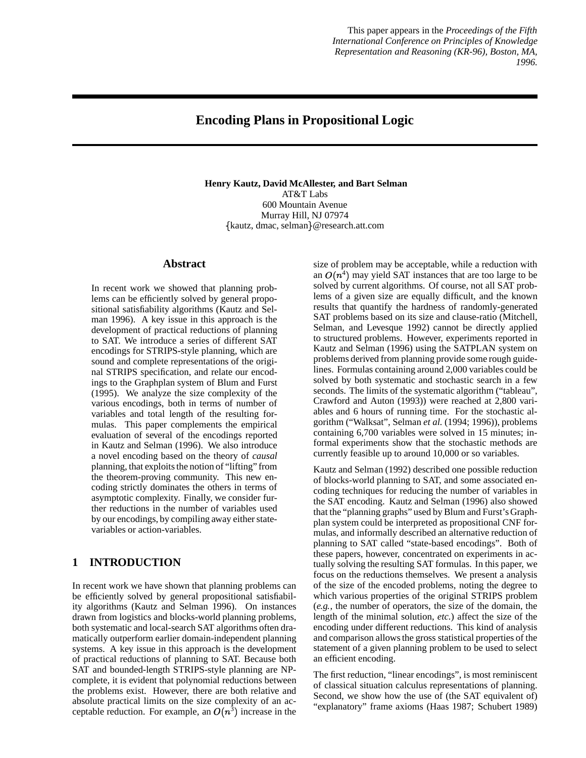This paper appears in the *Proceedings of the Fifth International Conference on Principles of Knowledge Representation and Reasoning (KR-96), Boston, MA, 1996.*

# **Encoding Plans in Propositional Logic**

## **Henry Kautz, David McAllester, and Bart Selman** AT&T Labs 600 Mountain Avenue Murray Hill, NJ 07974 kautz, dmac, selman @research.att.com

### **Abstract**

In recent work we showed that planning problems can be efficiently solved by general propositional satisfiability algorithms (Kautz and Selman 1996). A key issue in this approach is the development of practical reductions of planning to SAT. We introduce a series of different SAT encodings for STRIPS-style planning, which are sound and complete representations of the original STRIPS specification, and relate our encodings to the Graphplan system of Blum and Furst (1995). We analyze the size complexity of the various encodings, both in terms of number of variables and total length of the resulting formulas. This paper complements the empirical evaluation of several of the encodings reported in Kautz and Selman (1996). We also introduce a novel encoding based on the theory of *causal* planning, that exploits the notion of "lifting" from the theorem-proving community. This new encoding strictly dominates the others in terms of asymptotic complexity. Finally, we consider further reductions in the number of variables used by our encodings, by compiling away either statevariables or action-variables.

## **1 INTRODUCTION**

In recent work we have shown that planning problems can be efficiently solved by general propositional satisfiability algorithms (Kautz and Selman 1996). On instances drawn from logistics and blocks-world planning problems, both systematic and local-search SAT algorithms often dramatically outperform earlier domain-independent planning systems. A key issue in this approach is the development of practical reductions of planning to SAT. Because both SAT and bounded-length STRIPS-style planning are NPcomplete, it is evident that polynomial reductions between the problems exist. However, there are both relative and absolute practical limits on the size complexity of an acceptable reduction. For example, an  $O(n^3)$  increase in the

size of problem may be acceptable, while a reduction with an  $O(n^4)$  may yield SAT instances that are too large to be solved by current algorithms. Of course, not all SAT problems of a given size are equally difficult, and the known results that quantify the hardness of randomly-generated SAT problems based on its size and clause-ratio (Mitchell, Selman, and Levesque 1992) cannot be directly applied to structured problems. However, experiments reported in Kautz and Selman (1996) using the SATPLAN system on problems derived from planning provide some rough guidelines. Formulas containing around 2,000 variables could be solved by both systematic and stochastic search in a few seconds. The limits of the systematic algorithm ("tableau", Crawford and Auton (1993)) were reached at 2,800 variables and 6 hours of running time. For the stochastic algorithm ("Walksat", Selman *et al.* (1994; 1996)), problems containing 6,700 variables were solved in 15 minutes; informal experiments show that the stochastic methods are currently feasible up to around 10,000 or so variables.

Kautz and Selman (1992) described one possible reduction of blocks-world planning to SAT, and some associated encoding techniques for reducing the number of variables in the SAT encoding. Kautz and Selman (1996) also showed that the "planning graphs" used by Blum and Furst's Graphplan system could be interpreted as propositional CNF formulas, and informally described an alternative reduction of planning to SAT called "state-based encodings". Both of these papers, however, concentrated on experiments in actually solving the resulting SAT formulas. In this paper, we focus on the reductions themselves. We present a analysis of the size of the encoded problems, noting the degree to which various properties of the original STRIPS problem (*e.g.*, the number of operators, the size of the domain, the length of the minimal solution, *etc.*) affect the size of the encoding under different reductions. This kind of analysis and comparison allowsthe gross statistical properties of the statement of a given planning problem to be used to select an efficient encoding.

The first reduction, "linear encodings", is most reminiscent of classical situation calculus representations of planning. Second, we show how the use of (the SAT equivalent of) "explanatory" frame axioms (Haas 1987; Schubert 1989)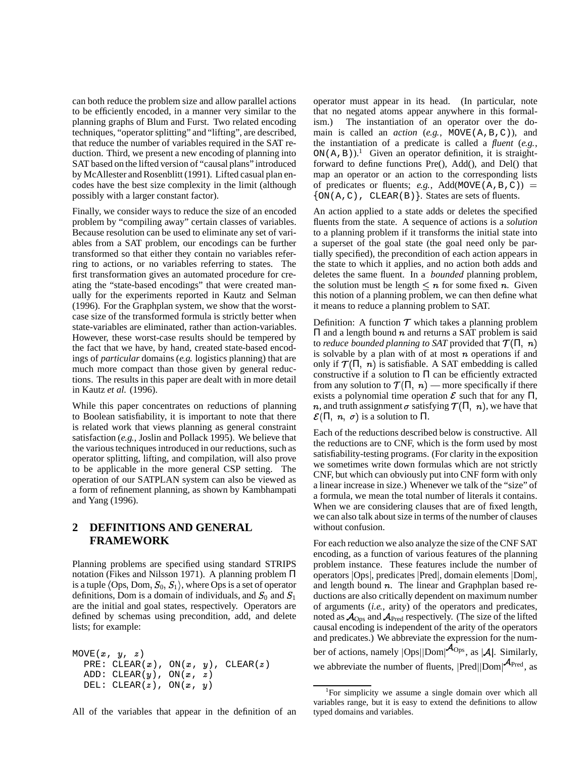can both reduce the problem size and allow parallel actions to be efficiently encoded, in a manner very similar to the planning graphs of Blum and Furst. Two related encoding techniques, "operatorsplitting" and "lifting", are described, that reduce the number of variables required in the SAT reduction. Third, we present a new encoding of planning into SAT based on the lifted version of "causal plans" introduced by McAllester and Rosenblitt (1991). Lifted casual plan encodes have the best size complexity in the limit (although possibly with a larger constant factor).

Finally, we consider ways to reduce the size of an encoded problem by "compiling away" certain classes of variables. Because resolution can be used to eliminate any set of variables from a SAT problem, our encodings can be further transformed so that either they contain no variables referring to actions, or no variables referring to states. The first transformation gives an automated procedure for creating the "state-based encodings" that were created manually for the experiments reported in Kautz and Selman (1996). For the Graphplan system, we show that the worstcase size of the transformed formula is strictly better when state-variables are eliminated, rather than action-variables. However, these worst-case results should be tempered by the fact that we have, by hand, created state-based encodings of *particular* domains (*e.g.* logistics planning) that are much more compact than those given by general reductions. The results in this paper are dealt with in more detail in Kautz *et al.* (1996).

While this paper concentrates on reductions of planning to Boolean satisfiability, it is important to note that there is related work that views planning as general constraint satisfaction (*e.g.,* Joslin and Pollack 1995). We believe that the various techniques introduced in our reductions, such as operator splitting, lifting, and compilation, will also prove to be applicable in the more general CSP setting. The operation of our SATPLAN system can also be viewed as a form of refinement planning, as shown by Kambhampati and Yang (1996).

# **2 DEFINITIONS AND GENERAL FRAMEWORK**

Planning problems are specified using standard STRIPS notation (Fikes and Nilsson 1971). A planning problem Π is a tuple  $\langle \text{Ops}, \text{Dom}, S_0, S_1 \rangle,$  where  $\text{Ops}$  is a set of operator definitions, Dom is a domain of individuals, and  $S_0$  and  $S_1$ are the initial and goal states, respectively. Operators are defined by schemas using precondition, add, and delete lists; for example:

```
MOWE(x, y, z)\texttt{PRE: } \texttt{CLEAR(}x\texttt{)} \texttt{, } \texttt{ON(}x\texttt{, } y\texttt{) } \texttt{, } \texttt{CLEAR(}z\texttt{)}ADD: CLEAR(y), ON(x, z)DEL: CLEAR(z), ON(x, y)
```
operator must appear in its head. (In particular, note that no negated atoms appear anywhere in this formalism.) The instantiation of an operator over the domain is called an *action* (*e.g.*, MOVE(A,B,C)), and the instantiation of a predicate is called a *fluent* (*e.g.*,  $ON(A, B)$ .<sup>1</sup> Given an operator definition, it is straightforward to define functions Pre(), Add(), and Del() that map an operator or an action to the corresponding lists of predicates or fluents;  $e.g., \text{Add}(\text{MOVE}(A, B, C)) =$  $\{ON(A, C), CLEAR(B)\}.$  States are sets of fluents.

An action applied to a state adds or deletes the specified fluents from the state. A sequence of actions is a *solution* to a planning problem if it transforms the initial state into a superset of the goal state (the goal need only be partially specified), the precondition of each action appears in the state to which it applies, and no action both adds and deletes the same fluent. In a *bounded* planning problem, the solution must be length  $\leq n$  for some fixed n. Given this notion of a planning problem, we can then define what it means to reduce a planning problem to SAT.

Definition: A function  $T$  which takes a planning problem  $\Pi$  and a length bound *n* and returns a SAT problem is said to *reduce bounded planning to SAT* provided that  $\mathcal{T}(\Pi, n)$ is solvable by a plan with of at most  $n$  operations if and only if  $\mathcal{T}(\Pi, n)$  is satisfiable. A SAT embedding is called constructive if a solution to  $\Pi$  can be efficiently extracted from any solution to  $\mathcal{T}(\Pi, n)$  — more specifically if there exists a polynomial time operation  $\mathcal E$  such that for any  $\Pi$ , n, and truth assignment  $\sigma$  satisfying  $\mathcal{T}(\Pi, n)$ , we have that  $\mathcal{E}(\Pi, n, \sigma)$  is a solution to  $\Pi$ .

Each of the reductions described below is constructive. All the reductions are to CNF, which is the form used by most satisfiability-testing programs. (For clarity in the exposition we sometimes write down formulas which are not strictly CNF, but which can obviously put into CNF form with only a linear increase in size.) Whenever we talk of the "size" of a formula, we mean the total number of literals it contains. When we are considering clauses that are of fixed length, we can also talk aboutsize in terms of the number of clauses without confusion.

For each reduction we also analyze the size of the CNFSAT encoding, as a function of various features of the planning problem instance. These features include the number of operators  $|Ops|$ , predicates  $|Pred|$ , domain elements  $|Dom|$ , and length bound  $n$ . The linear and Graphplan based reductions are also critically dependent on maximum number of arguments (*i.e.*, arity) of the operators and predicates, noted as  $A_{\text{Ops}}$  and  $A_{\text{Pred}}$  respectively. (The size of the lifted causal encoding is independent of the arity of the operators and predicates.) We abbreviate the expression for the number of actions, namely  $|Ops||Dom|^{\mathcal{A}Ops}$ , as  $|\mathcal{A}|$ . Similarly, we abbreviate the number of fluents,  $|Pred||Dom|^{APred}$ , as

All of the variables that appear in the definition of an

<sup>&</sup>lt;sup>1</sup>For simplicity we assume a single domain over which all variables range, but it is easy to extend the definitions to allow typed domains and variables.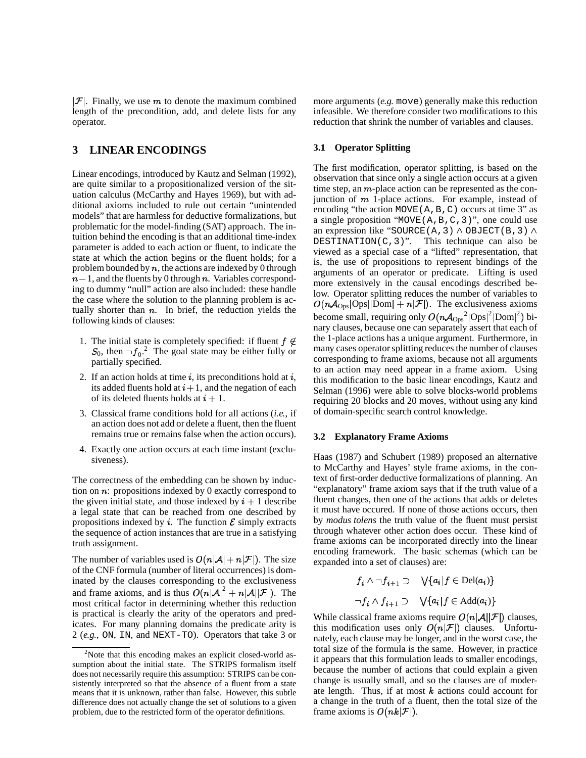$|\mathcal{F}|$ . Finally, we use m to denote the maximum combined length of the precondition, add, and delete lists for any operator.

# **3 LINEAR ENCODINGS**

Linear encodings, introduced by Kautz and Selman (1992), are quite similar to a propositionalized version of the situation calculus (McCarthy and Hayes 1969), but with additional axioms included to rule out certain "unintended models" that are harmless for deductive formalizations, but problematic for the model-finding (SAT) approach. The intuition behind the encoding is that an additional time-index parameter is added to each action or fluent, to indicate the state at which the action begins or the fluent holds; for a problem bounded by  $n$ , the actions are indexed by 0 through  $n - 1$ , and the fluents by 0 through  $n$ . Variables corresponding to dummy "null" action are also included: these handle the case where the solution to the planning problem is actually shorter than  $n$ . In brief, the reduction yields the following kinds of clauses:

- 1. The initial state is completely specified: if fluent  $f \notin$  $S_0$ , then  $-f_0$ <sup>2</sup>. The goal state may be either fully or partially specified.
- 2. If an action holds at time  $i$ , its preconditions hold at  $i$ , its added fluents hold at  $i+1$ , and the negation of each of its deleted fluents holds at  $i+1$ .
- 3. Classical frame conditions hold for all actions (*i.e.*, if an action does not add or delete a fluent, then the fluent remains true or remains false when the action occurs).
- 4. Exactly one action occurs at each time instant (exclusiveness).

The correctness of the embedding can be shown by induction on  $n$ : propositions indexed by 0 exactly correspond to the given initial state, and those indexed by  $i+1$  describe a legal state that can be reached from one described by propositions indexed by i. The function  $\mathcal E$  simply extracts the sequence of action instances that are true in a satisfying truth assignment.

The number of variables used is  $O(n|\mathcal{A}| + n|\mathcal{F}|)$ . The size of the CNF formula (number of literal occurrences) is dominated by the clauses corresponding to the exclusiveness and frame axioms, and is thus  $O(n|\mathcal{A}|^2 + n|\mathcal{A}||\mathcal{F}|)$ . The most critical factor in determining whether this reduction is practical is clearly the arity of the operators and predicates. For many planning domains the predicate arity is 2 (*e.g.*, ON, IN, and NEXT-TO). Operators that take 3 or

more arguments (*e.g.* move) generally make this reduction infeasible. We therefore consider two modifications to this reduction that shrink the number of variables and clauses.

### **3.1 Operator Splitting**

The first modification, operator splitting, is based on the observation that since only a single action occurs at a given time step, an  $m$ -place action can be represented as the conjunction of  $m$  1-place actions. For example, instead of encoding "the action MOVE $(A, B, C)$  occurs at time 3" as a single proposition "MOVE(A,B,C,3)", one could use an expression like "SOURCE(A, 3)  $\land$  OBJECT(B, 3)  $\land$ DESTINATION( $C$ , 3)". This technique can also be viewed as a special case of a "lifted" representation, that is, the use of propositions to represent bindings of the arguments of an operator or predicate. Lifting is used more extensively in the causal encodings described below. Operator splitting reduces the number of variables to  $O(n \mathcal{A}_{\text{Ops}} | \text{Ops} | |\text{Dom}| + n |\mathcal{F}|).$  The exclusiveness axioms become small, requiring only  $O(n\mathcal{A}_{\text{Ops}}^2|\text{Ops}|^2|\text{Dom}|^2)$  binary clauses, because one can separately assert that each of the 1-place actions has a unique argument. Furthermore, in many cases operator splitting reduces the number of clauses corresponding to frame axioms, because not all arguments to an action may need appear in a frame axiom. Using this modification to the basic linear encodings, Kautz and Selman (1996) were able to solve blocks-world problems requiring 20 blocks and 20 moves, without using any kind of domain-specific search control knowledge.

### **3.2 Explanatory Frame Axioms**

Haas (1987) and Schubert (1989) proposed an alternative to McCarthy and Hayes' style frame axioms, in the context of first-order deductive formalizations of planning. An "explanatory" frame axiom says that if the truth value of a fluent changes, then one of the actions that adds or deletes it must have occured. If none of those actions occurs, then by *modus tolens* the truth value of the fluent must persist through whatever other action does occur. These kind of frame axioms can be incorporated directly into the linear encoding framework. The basic schemas (which can be expanded into a set of clauses) are:

$$
f_i \wedge \neg f_{i+1} \supset \bigvee \{a_i | f \in \text{Del}(a_i)\}
$$
  

$$
\neg f_i \wedge f_{i+1} \supset \bigvee \{a_i | f \in \text{Add}(a_i)\}
$$

While classical frame axioms require  $O(n|\mathcal{A}||\mathcal{F}|)$  clauses, this modification uses only  $O(n|\mathcal{F}|)$  clauses. Unfortunately, each clause may be longer, and in the worst case, the total size of the formula is the same. However, in practice it appears that this formulation leads to smaller encodings, because the number of actions that could explain a given change is usually small, and so the clauses are of moderate length. Thus, if at most  $k$  actions could account for a change in the truth of a fluent, then the total size of the frame axioms is  $O(nk|\mathcal{F}|)$ .

 $2^2$ Note that this encoding makes an explicit closed-world assumption about the initial state. The STRIPS formalism itself does not necessarily require this assumption: STRIPS can be consistently interpreted so that the absence of a fluent from a state means that it is unknown, rather than false. However, this subtle difference does not actually change the set of solutions to a given problem, due to the restricted form of the operator definitions.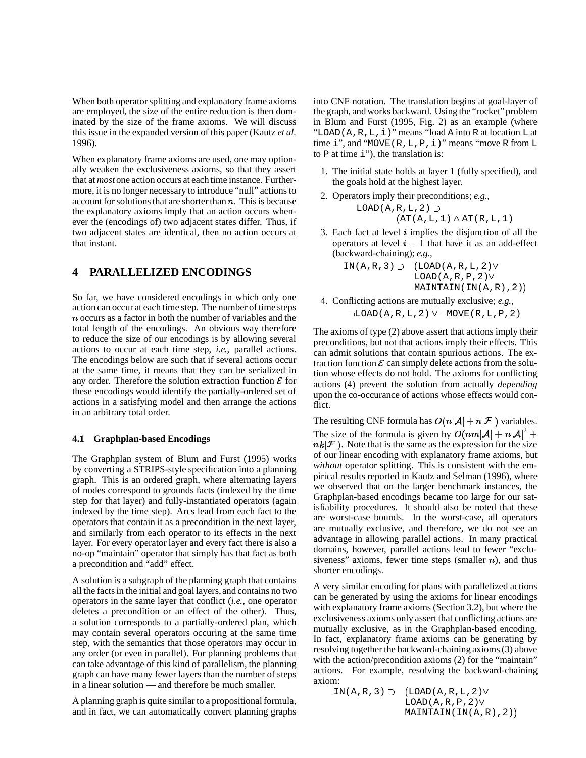When both operator splitting and explanatory frame axioms are employed, the size of the entire reduction is then dominated by the size of the frame axioms. We will discuss this issue in the expanded version of this paper (Kautz *et al.* 1996).

When explanatory frame axioms are used, one may optionally weaken the exclusiveness axioms, so that they assert that at *most* one action occurs at each time instance. Furthermore, it is no longer necessary to introduce "null" actions to account for solutions that are shorter than  $n$ . This is because the explanatory axioms imply that an action occurs whenever the (encodings of) two adjacent states differ. Thus, if two adjacent states are identical, then no action occurs at that instant.

## **4 PARALLELIZED ENCODINGS**

So far, we have considered encodings in which only one action can occur at each time step. The number of time steps occurs as a factor in both the number of variables and the total length of the encodings. An obvious way therefore to reduce the size of our encodings is by allowing several actions to occur at each time step, *i.e.*, parallel actions. The encodings below are such that if several actions occur at the same time, it means that they can be serialized in any order. Therefore the solution extraction function  $\mathcal E$  for these encodings would identify the partially-ordered set of actions in a satisfying model and then arrange the actions in an arbitrary total order.

#### **4.1 Graphplan-based Encodings**

The Graphplan system of Blum and Furst (1995) works by converting a STRIPS-style specification into a planning graph. This is an ordered graph, where alternating layers of nodes correspond to grounds facts (indexed by the time step for that layer) and fully-instantiated operators (again indexed by the time step). Arcs lead from each fact to the operators that contain it as a precondition in the next layer, and similarly from each operator to its effects in the next layer. For every operator layer and every fact there is also a no-op "maintain" operator that simply has that fact as both a precondition and "add" effect.

A solution is a subgraph of the planning graph that contains all the facts in the initial and goal layers, and contains no two operators in the same layer that conflict (*i.e.*, one operator deletes a precondition or an effect of the other). Thus, a solution corresponds to a partially-ordered plan, which may contain several operators occuring at the same time step, with the semantics that those operators may occur in any order (or even in parallel). For planning problems that can take advantage of this kind of parallelism, the planning graph can have many fewer layers than the number of steps in a linear solution — and therefore be much smaller.

A planning graph is quite similar to a propositional formula, and in fact, we can automatically convert planning graphs into CNF notation. The translation begins at goal-layer of the graph, and works backward. Using the "rocket" problem in Blum and Furst (1995, Fig. 2) as an example (where "LOAD( $A, R, L, i$ )" means "load A into R at location L at time  $i$ ", and "MOVE(R, L, P, i)" means "move R from L to  $P$  at time  $\angle$ "), the translation is:

- 1. The initial state holds at layer 1 (fully specified), and the goals hold at the highest layer.
- 2. Operators imply their preconditions; *e.g.,*

 $LOAD(A,R,L,2)$   $\supset$  $(AT(A,L,1) \wedge AT(R,L,1))$ 

3. Each fact at level  $i$  implies the disjunction of all the operators at level  $i-1$  that have it as an add-effect (backward-chaining); *e.g.,*

$$
IN(A,R,3) \supset (LOAD(A,R,L,2))
$$
  
LOAD(A,R,P,2))  
MAINTAIN(IN(A,R),2))

4. Conflicting actions are mutually exclusive; *e.g.,*  $\neg$ LOAD(A,R,L,2)  $V \neg$ MOVE(R,L,P,2)

The axioms of type (2) above assert that actions imply their preconditions, but not that actions imply their effects. This can admit solutions that contain spurious actions. The extraction function  $\mathcal E$  can simply delete actions from the solution whose effects do not hold. The axioms for conflicting actions (4) prevent the solution from actually *depending* upon the co-occurance of actions whose effects would conflict.

The resulting CNF formula has  $O(n|\mathcal{A}| + n|\mathcal{F}|)$  variables. The size of the formula is given by  $O(nm|\mathcal{A}| + n|\mathcal{A}|^2 +$  $nk|\mathcal{F}|$ ). Note that is the same as the expression for the size of our linear encoding with explanatory frame axioms, but *without* operator splitting. This is consistent with the empirical results reported in Kautz and Selman (1996), where we observed that on the larger benchmark instances, the Graphplan-based encodings became too large for our satisfiability procedures. It should also be noted that these are worst-case bounds. In the worst-case, all operators are mutually exclusive, and therefore, we do not see an advantage in allowing parallel actions. In many practical domains, however, parallel actions lead to fewer "exclusiveness" axioms, fewer time steps (smaller  $n$ ), and thus shorter encodings.

A very similar encoding for plans with parallelized actions can be generated by using the axioms for linear encodings with explanatory frame axioms (Section 3.2), but where the exclusiveness axioms only assert that conflicting actions are mutually exclusive, as in the Graphplan-based encoding. In fact, explanatory frame axioms can be generating by resolving together the backward-chaining axioms(3) above with the action/precondition axioms (2) for the "maintain" actions. For example, resolving the backward-chaining axiom:

```
IN(A,R,3) \supset (LOAD(A,R,L,2)V)LOAD(A,R,P,2)VMAINTAIN(IN(A,R), 2))
```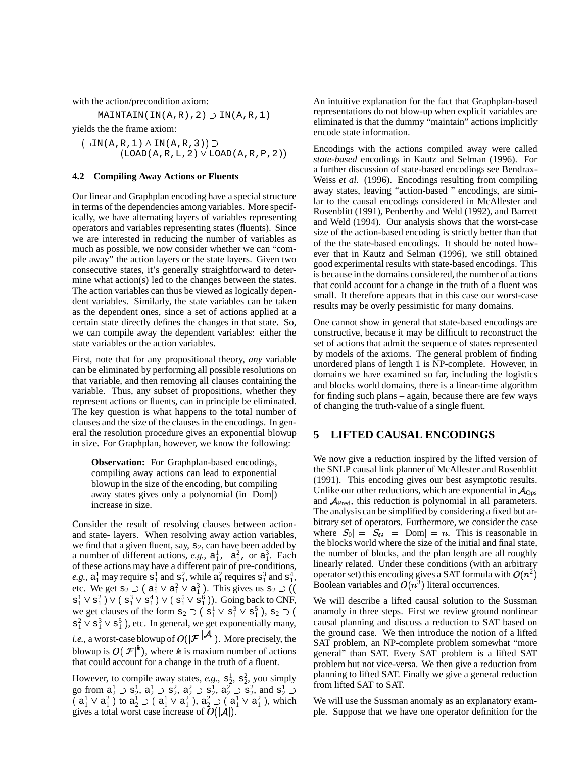with the action/precondition axiom:

 $\texttt{MAINTAIN}(\texttt{IN}(A,R), 2) \supset \texttt{IN}(A,R,1)$ 

yields the the frame axiom:

 $(\neg IN(A,R,1) \wedge IN(A,R,3)) \supset$  $\big(\texttt{LOAD}(\texttt{A},\texttt{R},\texttt{L},\texttt{2}) \texttt{V}\ \texttt{LOAD}(\texttt{A},\texttt{R},\texttt{P},\texttt{2})\big)$ 

#### **4.2 Compiling Away Actions or Fluents**

Our linear and Graphplan encoding have a special structure in terms of the dependencies among variables. More specifically, we have alternating layers of variables representing operators and variables representing states (fluents). Since we are interested in reducing the number of variables as much as possible, we now consider whether we can "compile away" the action layers or the state layers. Given two consecutive states, it's generally straightforward to determine what action(s) led to the changes between the states. The action variables can thus be viewed as logically dependent variables. Similarly, the state variables can be taken as the dependent ones, since a set of actions applied at a certain state directly defines the changes in that state. So, we can compile away the dependent variables: either the state variables or the action variables.

First, note that for any propositional theory, *any* variable can be eliminated by performing all possible resolutions on that variable, and then removing all clauses containing the variable. Thus, any subset of propositions, whether they represent actions or fluents, can in principle be eliminated. The key question is what happens to the total number of clauses and the size of the clauses in the encodings. In general the resolution procedure gives an exponential blowup in size. For Graphplan, however, we know the following:

**Observation:** For Graphplan-based encodings, compiling away actions can lead to exponential blowup in the size of the encoding, but compiling away states gives only a polynomial (in  $|Dom|$ ) increase in size.

Consider the result of resolving clauses between actionand state- layers. When resolving away action variables, we find that a given fluent, say,  $s_2$ , can have been added by a number of different actions, *e.g.*,  $a_1^1$ ,  $a_1^2$ , or  $a_1^3$ . Each of these actions may have a different pair of pre-conditions, *e.g.*,  $a_1^1$  may require  $s_1^1$  and  $s_1^2$ , while  $a_1^2$  requires  $s_1^3$  and  $s_1^4$ , etc. We get  $s_2 \supset (a_1^1 \vee a_1^2 \vee a_1^3)$ . This gives us  $s_2 \supset (($  Boolea  $\mathbf{s}_1^1 \vee \mathbf{s}_1^2 \vee (\mathbf{s}_1^3 \vee \mathbf{s}_1^4) \vee (\mathbf{s}_1^5 \vee \mathbf{s}_1^6)$ ). Going back to CNF, we get clauses of the form  $s_2 \supset (s_1^1 \vee s_1^3 \vee s_1^5)$ ,  $s_2 \supset ($  anamol  $s_1^2 \vee s_1^3 \vee s_1^5$ ), etc. In general, we get exponentially many, *i.e.*, a worst-case blowup of  $O(|\mathcal{F}|^{|\mathcal{M}|})$ . More precisely, the blowup is  $O(|\mathcal{F}|^k)$ , where k is maxium number of actions that could account for a change in the truth of a fluent.

However, to compile away states,  $e.g., s_2^1, s_2^2$ , you simply Trowever, to complie away states, e.g.,  $s_2$ ,  $s_2$ ,  $s_2$ , you simply<br>go from  $a_2^1 \supset s_2^1$ ,  $a_2^1 \supset s_2^2$ ,  $a_2^2 \supset s_2^1$ ,  $a_2^2 \supset s_2^2$ , and  $s_2^1 \supset$  from lift  $\left(\begin{array}{c|c} a^1_1\vee a^2_1 \end{array}\right)$  to  $a^1_2\supset$   $\left(\begin{array}{c|c} a^1_1\vee a^2_1 \end{array}\right)$ ,  $a^2_2\supseteq$   $\left(\begin{array}{c|c} a^1_1\vee a^2_1 \end{array}\right)$ , which gives a total worst case increase of  $O(|A|)$ .

An intuitive explanation for the fact that Graphplan-based representations do not blow-up when explicit variables are eliminated is that the dummy "maintain" actions implicitly encode state information.

Encodings with the actions compiled away were called *state-based* encodings in Kautz and Selman (1996). For a further discussion of state-based encodings see Bendrax-Weiss *et al.* (1996). Encodings resulting from compiling away states, leaving "action-based " encodings, are similar to the causal encodings considered in McAllester and Rosenblitt (1991), Penberthy and Weld (1992), and Barrett and Weld (1994). Our analysis shows that the worst-case size of the action-based encoding is strictly better than that of the the state-based encodings. It should be noted however that in Kautz and Selman (1996), we still obtained good experimental results with state-based encodings. This is because in the domains considered, the number of actions that could account for a change in the truth of a fluent was small. It therefore appears that in this case our worst-case results may be overly pessimistic for many domains.

One cannot show in general that state-based encodings are constructive, because it may be difficult to reconstruct the set of actions that admit the sequence of states represented by models of the axioms. The general problem of finding unordered plans of length 1 is NP-complete. However, in domains we have examined so far, including the logistics and blocks world domains, there is a linear-time algorithm for finding such plans – again, because there are few ways of changing the truth-value of a single fluent.

## **5 LIFTED CAUSAL ENCODINGS**

We now give a reduction inspired by the lifted version of the SNLP causal link planner of McAllester and Rosenblitt (1991). This encoding gives our best asymptotic results. Unlike our other reductions, which are exponential in  $A_{\text{Ops}}$ and  $A_{\text{Pred}}$ , this reduction is polynomial in all parameters. The analysis can be simplified by considering afixed but arbitrary set of operators. Furthermore, we consider the case where  $|S_0| = |S_G| = |Dom| = n$ . This is reasonable in the blocks world where the size of the initial and final state, the number of blocks, and the plan length are all roughly linearly related. Under these conditions (with an arbitrary operator set) this encoding gives a SAT formula with  $O(n^2)$ Boolean variables and  $O(n^3)$  literal occurrences.

We will describe a lifted causal solution to the Sussman anamoly in three steps. First we review ground nonlinear causal planning and discuss a reduction to SAT based on the ground case. We then introduce the notion of a lifted SAT problem, an NP-complete problem somewhat "more general" than SAT. Every SAT problem is a lifted SAT problem but not vice-versa. We then give a reduction from planning to lifted SAT. Finally we give a general reduction from lifted SAT to SAT.

We will use the Sussman anomaly as an explanatory example. Suppose that we have one operator definition for the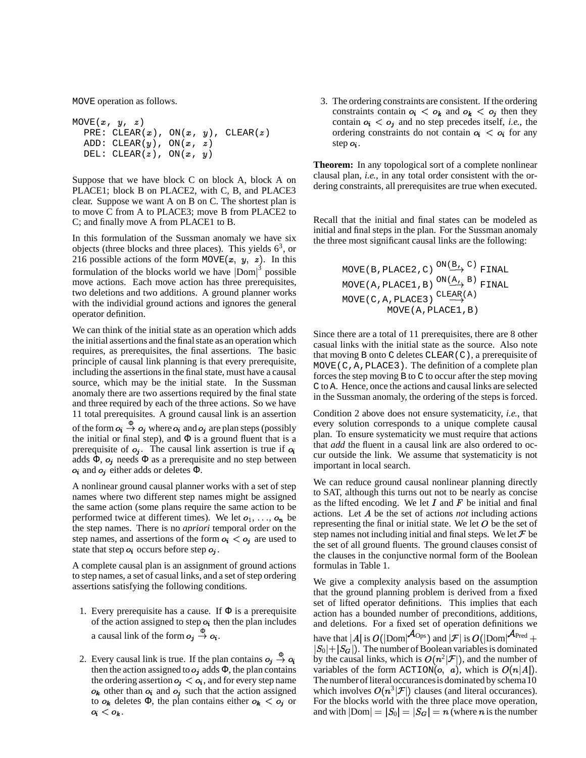MOVE operation as follows.

```
MOVE(x, y, z)PRE: CLEAR(x), ON(x, y), CLEAR(z)ADD: CLEAR(y), ON(x, z)DEL: CLEAR(z), ON(x, y)
```
Suppose that we have block C on block A, block A on PLACE1; block B on PLACE2, with C, B, and PLACE3 clear. Suppose we want A on B on C. The shortest plan is to move C from A to PLACE3; move B from PLACE2 to C; and finally move A from PLACE1 to B.

In this formulation of the Sussman anomaly we have six objects (three blocks and three places). This yields  $6<sup>3</sup>$ , or 216 possible actions of the form MOVE $(x, y, z)$ . In this formulation of the blocks world we have  $|{\rm Dom}|^3$  possible move actions. Each move action has three prerequisites, two deletions and two additions. A ground planner works with the individial ground actions and ignores the general operator definition.

We can think of the initial state as an operation which adds the initial assertions and the final state as an operation which requires, as prerequisites, the final assertions. The basic principle of causal link planning is that every prerequisite, including the assertions in the final state, must have a causal source, which may be the initial state. In the Sussman anomaly there are two assertions required by the final state and three required by each of the three actions. So we have 11 total prerequisites. A ground causal link is an assertion of the form  $o_i \stackrel{\Phi}{\rightarrow} o_j$  where  $o_i$  and  $o_j$  are plan steps (possibly the initial or final step), and  $\Phi$  is a ground fluent that is a prerequisite of  $o_j$ . The causal link assertion is true if  $o_i$ adds  $\Phi$ ,  $o_j$  needs  $\Phi$  as a prerequisite and no step between  $o_i$  and  $o_j$  either adds or deletes  $\Phi$ .

A nonlinear ground causal planner works with a set of step names where two different step names might be assigned the same action (some plans require the same action to be performed twice at different times). We let  $o_1, \ldots, o_n$  be the step names. There is no *apriori* temporal order on the step names, and assertions of the form  $o_i < o_j$  are used to state that step  $o_i$  occurs before step  $o_j$ .

A complete causal plan is an assignment of ground actions to step names, a set of casual links, and a set of step ordering assertions satisfying the following conditions.

- 1. Every prerequisite has a cause. If  $\Phi$  is a prerequisite of the action assigned to step  $o_i$  then the plan includes a causal link of the form  $o_j \stackrel{\Phi}{\to} o_i$ .
- 2. Every causal link is true. If the plan contains  $o_i \stackrel{\Phi}{\rightarrow} o_i$  by the causal then the action assigned to  $o_j$  adds  $\Phi$ , the plan contains the ordering assertion  $o_j < o_i$ , and for every step name  $o_k$  other than  $o_i$  and  $o_j$  such that the action assigned to  $o_k$  deletes  $\Phi$ , the plan contains either  $o_k < o_j$  or For  $o_i < o_k$ .

3. The ordering constraints are consistent. If the ordering constraints contain  $o_i < o_k$  and  $o_k < o_j$  then they contain  $o_i < o_j$  and no step precedes itself, *i.e.*, the ordering constraints do not contain  $o_i < o_i$  for any step  $o_i$ .

**Theorem:** In any topological sort of a complete nonlinear clausal plan, *i.e.*, in any total order consistent with the ordering constraints, all prerequisites are true when executed.

Recall that the initial and final states can be modeled as initial and final steps in the plan. For the Sussman anomaly the three most significant causal links are the following:

MOVE(B, PLACE2, C)

\n
$$
\frac{\text{ON}(B, C)}{\text{MOL}} \xrightarrow{C} \text{FINAL}
$$
\nMOVE(A, PLACE1, B)

\n
$$
\frac{\text{ON}(A, B)}{\text{MOL}} \xrightarrow{D} \text{FINAL}
$$
\nMOVE(C, A, PLACE3)

\n
$$
\frac{\text{CLEAR}(A)}{\text{MOVE}(A, PLACE1, B)}
$$

Since there are a total of 11 prerequisites, there are 8 other casual links with the initial state as the source. Also note that moving B onto C deletes CLEAR(C), a prerequisite of MOVE (C, A, PLACE3). The definition of a complete plan forces the step moving B to C to occur after the step moving C to A. Hence, once the actions and causal links are selected in the Sussman anomaly, the ordering of the steps is forced.

Condition 2 above does not ensure systematicity, *i.e.*, that every solution corresponds to a unique complete causal plan. To ensure systematicity we must require that actions that *add* the fluent in a causal link are also ordered to occur outside the link. We assume that systematicity is not important in local search.

We can reduce ground causal nonlinear planning directly to SAT, although this turns out not to be nearly as concise as the lifted encoding. We let  $I$  and  $F$  be initial and final actions. Let  $A$  be the set of actions *not* including actions representing the final or initial state. We let  $O$  be the set of step names not including initial and final steps. We let  $\mathcal F$  be the set of all ground fluents. The ground clauses consist of the clauses in the conjunctive normal form of the Boolean formulas in Table 1.

We give a complexity analysis based on the assumption that the ground planning problem is derived from a fixed set of lifted operator definitions. This implies that each action has a bounded number of preconditions, additions, and deletions. For a fixed set of operation definitions we have that  $|A|$  is  $O(|\text{Dom}|^{\mathcal{A}\text{Ops}})$  and  $|\mathcal{F}|$  is  $O(|\text{Dom}|^{\mathcal{A}\text{Pred}}) +$  $|S_0|+|{\mathcal S}_{\bm G}|).$  The number of Boolean variables is dominated by the causal links, which is  $O(n^2|\mathcal{F}|)$ , and the number of variables of the form ACTION( $o$ ,  $a$ ), which is  $O(n|A|)$ . The number of literal occurances is dominated by schema 10 which involves  $O(n^3|\mathcal{F}|)$  clauses (and literal occurances). For the blocks world with the three place move operation, and with  $|{\rm Dom}| = |S_0| = |S_G| = n$  (where *n* is the number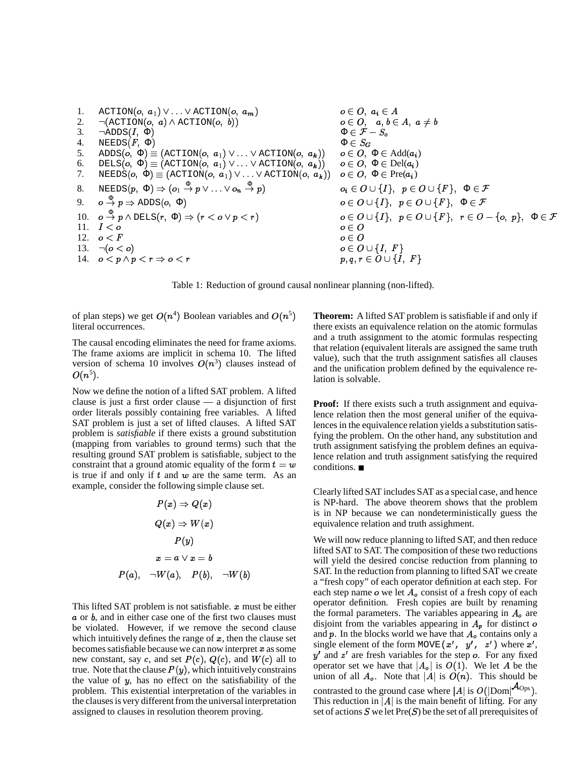1. ACTION $(o, a_1) \vee \ldots \vee$  ACTION $(o, a_m)$   $o \in O, a_i \in A$  $O, a_i \in A$ 2.  $\neg(\texttt{ACTION}(o, a) \wedge \texttt{ACTIC})$  $\mathtt{ACTION}(o,~b)) \qquad \qquad \qquad o\in O,~~~a,b\in A,~a\neq b$ 3.  $\neg$ ADDS(*I*,  $\Phi$ )<br>4. NEEDS(*F*,  $\Phi$ )  $\Phi \in \mathcal{F} - S_o$ 4. NEEDS $(F, \Phi)$ <br>5. ADDS $(o, \Phi) \equiv$  $\Phi \in S_G$ 5. ADDS $(o, \Phi) \equiv ($ ACTION $(o, a_1) \lor ... \lor$ ACTION $(o, a_k)$ )  $o \in$  $o \in O, \ \Phi \in \text{Del}(a_i)$ 5. ADDS(0, Ψ) = (ACTION(0, a<sub>1</sub>) v... v ACTION(0, a<sub>k</sub>)) o ∈<br>6. DELS(0, Φ) = (ACTION(0, a<sub>1</sub>) v... v ACTION(0, a<sub>k</sub>)) o ∈  $o \in O, \ \Phi \in \mathrm{Add}(a_i)$  $o \in O, \ \Phi \in \text{Pre}(a_i)$  $\begin{array}{lll} \sigma. & \text{DELS}(o, \ \Phi) = (\text{ACTION}(o, a_1) \vee \ldots \vee \text{ACTION}(o, a_k)) & o \in C, \ \text{NEEDS}(o, \ \Phi) \equiv (\text{ACTION}(o, a_1) \vee \ldots \vee \text{ACTION}(o, a_k)) & o \in C. \end{array}$  $p) \hspace{6.9cm} o_i \in O \cup \{I\}, \hspace{2mm} p \in O \cup \{F\}, \hspace{2mm} \Phi \in \mathcal{F}$ 8. NEEDS $(p, \, \Phi) \Rightarrow (o_1 \stackrel{\Phi}{\rightarrow} p \vee \ldots \vee o_n \stackrel{\Phi}{\rightarrow} p)$ 9.  $o \stackrel{\Phi}{\rightarrow} p \Rightarrow \text{ADDS}(o, \Phi)$   $o \in O \cup \{I\},$  $O\cup\{I\},\;\;p\in O\cup\{F\},\;\;\Phi\in\mathcal{F}$  $10. \quad o\stackrel{\Phi}{\rightarrow} p \wedge \texttt{DELS}(r,\ \Phi) \Rightarrow (r < o \vee p < r)$  $o\in O\cup\{I\},\;\;p\in O\cup\{F\},\;\;r\in O-\{o,\;p\},\;\;\Phi\in\mathcal{F}$ 11.  $I < o$   $o \in O$ 12.  $o \lt F$   $o \in O$ 13.  $\neg$ ( $o < o$ )  $o \in O \cup \{I, F\}$ 14.  $o < p \wedge p < r \Rightarrow o < r$  $O \cup \{I, F\}$ 

Table 1: Reduction of ground causal nonlinear planning (non-lifted).

of plan steps) we get  $O(n^4)$  Boolean variables and  $O(n^5)$  1 literal occurrences.

The causal encoding eliminates the need for frame axioms. The frame axioms are implicit in schema 10. The lifted version of schema 10 involves  $O(n^3)$  clauses instead of  $O(n^5)$ .

Now we define the notion of a lifted SAT problem. A lifted clause is just a first order clause — a disjunction of first order literals possibly containing free variables. A lifted SAT problem is just a set of lifted clauses. A lifted SAT problem is *satisfiable* if there exists a ground substitution (mapping from variables to ground terms) such that the resulting ground SAT problem is satisfiable, subject to the constraint that a ground atomic equality of the form  $t = w$ is true if and only if  $t$  and  $w$  are the same term. As an example, consider the following simple clause set.

$$
P(x) \Rightarrow Q(x)
$$
  
\n
$$
Q(x) \Rightarrow W(x)
$$
  
\n
$$
P(y)
$$
  
\n
$$
x = a \lor x = b
$$
  
\n
$$
P(a), \quad \neg W(a), \quad P(b), \quad \neg W(b)
$$

This lifted SAT problem is not satisfiable.  $x$  must be either a or b, and in either case one of the first two clauses must be violated. However, if we remove the second clause which intuitively defines the range of  $x$ , then the clause set becomes satisfiable because we can now interpret  $x$  as some new constant, say c, and set  $P(c)$ ,  $Q(c)$ , and  $W(c)$  all to true. Note that the clause  $P(y)$ , which intuitively constrains the value of  $y$ , has no effect on the satisfiability of the problem. This existential interpretation of the variables in the clauses is very different from the universal interpretation assigned to clauses in resolution theorem proving.

**Theorem:** A lifted SAT problem is satisfiable if and only if there exists an equivalence relation on the atomic formulas and a truth assignment to the atomic formulas respecting that relation (equivalent literals are assigned the same truth value), such that the truth assignment satisfies all clauses and the unification problem defined by the equivalence relation is solvable.

**Proof:** If there exists such a truth assignment and equivalence relation then the most general unifier of the equivalences in the equivalence relation yields a substitution satisfying the problem. On the other hand, any substitution and truth assignment satisfying the problem defines an equivalence relation and truth assignment satisfying the required conditions.

Clearly liftedSAT includesSAT as a special case, and hence is NP-hard. The above theorem shows that the problem is in NP because we can nondeterministically guess the equivalence relation and truth assighment.

We will now reduce planning to lifted SAT, and then reduce lifted SAT to SAT. The composition of these two reductions will yield the desired concise reduction from planning to SAT. In the reduction from planning to lifted SAT we create a "fresh copy" of each operator definition at each step. For each step name  $\boldsymbol{o}$  we let  $A_{\boldsymbol{o}}$  consist of a fresh copy of each operator definition. Fresh copies are built by renaming the formal parameters. The variables appearing in  $A<sub>o</sub>$  are disjoint from the variables appearing in  $A_p$  for distinct o and  $p$ . In the blocks world we have that  $A<sub>o</sub>$  contains only a single element of the form MOVE( $x'$ ,  $y'$ ,  $z'$ ) where  $x'$ ,  $y'$  and  $z'$  are fresh variables for the step  $o$ . For any fixed operator set we have that  $|A_o|$  is  $O(1)$ . We let A be the union of all  $A_o$ . Note that |A| is  $O(n)$ . This should be contrasted to the ground case where |A| is  $O(|\text{Dom}|^{\mathcal{A}\text{Ops}})$ . This reduction in  $|A|$  is the main benefit of lifting. For any set of actions S we let  $Pre(S)$  be the set of all prerequisites of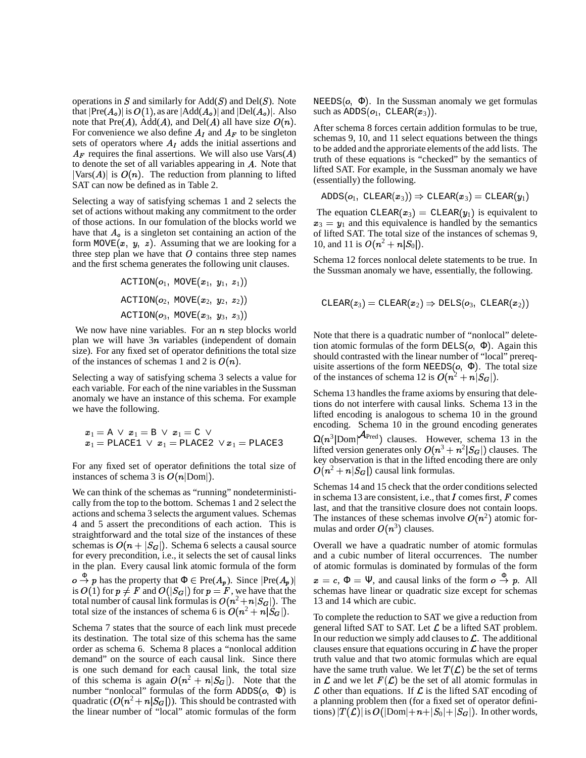operations in  $S$  and similarly for  $Add(S)$  and  $Del(S)$ . Note that  $|\text{Pre}(A_{o})|$  is  $O(1)$ , as are  $|\text{Add}(A_{o})|$  and  $|\text{Del}(A_{o})|$ . Also note that  $Pre(A)$ , Add $(A)$ , and Del $(A)$  all have size  $O(n)$ . For convenience we also define  $A_I$  and  $A_F$  to be singleton sets of operators where  $A_I$  adds the initial assertions and  $A_F$  requires the final assertions. We will also use  $Var(s(A))$ to denote the set of all variables appearing in  $A$ . Note that  $|\text{Vars}(A)|$  is  $O(n)$ . The reduction from planning to lifted SAT can now be defined as in Table 2.

Selecting a way of satisfying schemas 1 and 2 selects the set of actions without making any commitment to the order of those actions. In our fomulation of the blocks world we have that  $A<sub>o</sub>$  is a singleton set containing an action of the form MOVE $(x, y, z)$ . Assuming that we are looking for a three step plan we have that  $O$  contains three step names and the first schema generates the following unit clauses.

$$
\texttt{ACTION}(o_1, \texttt{MOVE}(x_1, y_1, z_1)) \\ \texttt{ACTION}(o_2, \texttt{MOVE}(x_2, y_2, z_2)) \\ \texttt{ACTION}(o_3, \texttt{MOVE}(x_3, y_3, z_3))
$$

We now have nine variables. For an  $n$  step blocks world plan we will have  $3n$  variables (independent of domain size). For any fixed set of operator definitions the total size of the instances of schemas 1 and 2 is  $O(n)$ .

Selecting a way of satisfying schema 3 selects a value for each variable. For each of the nine variables in the Sussman anomaly we have an instance of this schema. For example we have the following.

$$
\begin{array}{l} \textbf{\textit{x}}_1 = \texttt{A} \ \lor \ \textbf{\textit{x}}_1 = \texttt{B} \ \lor \ \textbf{\textit{x}}_1 = \texttt{C} \ \lor \\ \textbf{\textit{x}}_1 = \texttt{PLACE1} \ \lor \ \textbf{\textit{x}}_1 = \texttt{PLACE2} \ \lor \textbf{\textit{x}}_1 = \texttt{PLACE3} \end{array}
$$

For any fixed set of operator definitions the total size of instances of schema 3 is  $O(n|\text{Dom}|)$ .

We can think of the schemas as "running" nondeterministically from the top to the bottom. Schemas 1 and 2 select the actions and schema 3 selects the argument values. Schemas 4 and 5 assert the preconditions of each action. This is straightforward and the total size of the instances of these schemas is  $O(n + |S_G|)$ . Schema 6 selects a causal source for every precondition, i.e., it selects the set of causal links in the plan. Every causal link atomic formula of the form  $\varphi \stackrel{\Phi}{\to} p$  has the property that  $\Phi \in \text{Pre}(A_p)$ . Since  $|\text{Pre}(A_p)|$   $x$ is  $O(1)$  for  $p \neq F$  and  $O(|S_G|)$  for  $p=F$ , we have that the total number of causal link formulas is  $O(n^2 + n|S_G|)$ . The total size of the instances of schema 6 is  $O(n^2 + n|S_G|)$ .

Schema 7 states that the source of each link must precede its destination. The total size of this schema has the same order as schema 6. Schema 8 places a "nonlocal addition demand" on the source of each causal link. Since there is one such demand for each causal link, the total size of this schema is again  $O(n^2 + n|S_G|)$ . Note that the number "nonlocal" formulas of the form  $\text{ADDS}(o, \Phi)$  is quadratic  $(O(n^2 + n|S_G|))$ . This should be contrasted with the linear number of "local" atomic formulas of the form

 $NEEDS(o, \Phi)$ . In the Sussman anomaly we get formulas such as  $\text{ADDS}$  $(o_1, \text{CLEAR}(x_3)).$ 

After schema 8 forces certain addition formulas to be true, schemas 9, 10, and 11 select equations between the things to be added and the approriate elements of the add lists. The truth of these equations is "checked" by the semantics of lifted SAT. For example, in the Sussman anomaly we have (essentially) the following.

$$
\texttt{ADDS}(\boldsymbol{\mathit{o}}_1,\;\texttt{CLEAR}(\boldsymbol{\mathit{x}}_3)) \Rightarrow \texttt{CLEAR}(\boldsymbol{\mathit{x}}_3) = \texttt{CLEAR}(\boldsymbol{\mathit{y}}_1)
$$

The equation CLEAR $(x_3)$  = CLEAR $(y_1)$  is equivalent to  $x_3 = y_1$  and this equivalence is handled by the semantics of lifted SAT. The total size of the instances of schemas 9, 10, and 11 is  $O(n^2 + n|S_0|)$ .

Schema 12 forces nonlocal delete statements to be true. In the Sussman anomaly we have, essentially, the following.

$$
\texttt{CLEAR}({\pmb{z}}_3) = \texttt{CLEAR}({\pmb{x}}_2) \Rightarrow \texttt{DELS}({\pmb{o}}_3, \ \texttt{CLEAR}({\pmb{x}}_2))
$$

Note that there is a quadratic number of "nonlocal" deletetion atomic formulas of the form  $DELS($ *o*,  $\Phi$ ). Again this should contrasted with the linear number of "local" prerequisite assertions of the form  $NEEDS(o, \Phi)$ . The total size of the instances of schema 12 is  $O(n^2 + n|S_G|)$ .

Schema 13 handles the frame axioms by ensuring that deletions do not interfere with causal links. Schema 13 in the lifted encoding is analogous to schema 10 in the ground encoding. Schema 10 in the ground encoding generates  $\Omega(n^3 | \text{Dom}|^{\mathcal{A} \text{Pred}})$  clauses. However, schema 13 in the lifted version generates only  $O(n^3 + n^2|S_G|)$  clauses. The key observation is that in the lifted encoding there are only  $O(n^2 + n|S_G|)$  causal link formulas.

Schemas 14 and 15 check that the order conditions selected in schema 13 are consistent, i.e., that  $\overline{I}$  comes first,  $\overline{F}$  comes last, and that the transitive closure does not contain loops. The instances of these schemas involve  $O(n^2)$  atomic formulas and order  $O(n^3)$  clauses.

Overall we have a quadratic number of atomic formulas and a cubic number of literal occurrences. The number of atomic formulas is dominated by formulas of the form  $x = c, \Phi = \Psi$ , and causal links of the form  $o \stackrel{\Phi}{\to} p$ . All schemas have linear or quadratic size except for schemas 13 and 14 which are cubic.

 $\mathcal{V}$  To complete the reduction to SAT we give a reduction from general lifted SAT to SAT. Let  $\mathcal L$  be a lifted SAT problem. In our reduction we simply add clauses to  $\mathcal{L}$ . The additional clauses ensure that equations occuring in  $\mathcal L$  have the proper truth value and that two atomic formulas which are equal have the same truth value. We let  $T(\mathcal{L})$  be the set of terms in  $\mathcal L$  and we let  $F(\mathcal L)$  be the set of all atomic formulas in  $\mathcal L$  other than equations. If  $\mathcal L$  is the lifted SAT encoding of a planning problem then (for a fixed set of operator definitions)  $|T(\mathcal{L})|$  is  $O(|\mathrm{Dom}|+n+|S_0|+|S_G|)$ . In other words,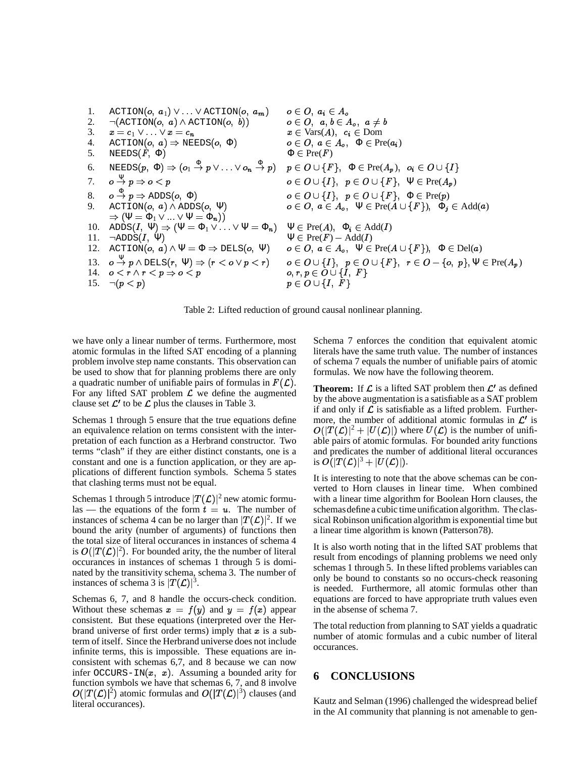| 1. | ACTION $(o, a_1) \lor \ldots \lor$ ACTION $(o, a_m)$                                                                          | $o \in O$ , $a_i \in A_o$                                                                  |
|----|-------------------------------------------------------------------------------------------------------------------------------|--------------------------------------------------------------------------------------------|
|    | 2. $\neg(\text{ACTION}(o, a) \land \text{ACTION}(o, b))$                                                                      | $o \in O$ , $a, b \in A_o$ , $a \neq b$                                                    |
| 3. | $x = c_1 \vee \ldots \vee x = c_n$                                                                                            | $x \in \text{Vars}(A), \ \ c_i \in \text{Dom}$                                             |
|    | 4. ACTION $(o, a) \Rightarrow \text{NEEDS}(o, \Phi)$                                                                          | $o \in O$ , $a \in A_o$ , $\Phi \in \text{Pre}(a_i)$                                       |
| 5. | NEEDS $(F, \Phi)$                                                                                                             | $\Phi \in Pre(F)$                                                                          |
| 6. | $\text{NEEDS}(p,\ \Phi) \Rightarrow (o_1 \stackrel{\Phi}{\rightarrow} p \lor \ldots \lor o_n \stackrel{\Phi}{\rightarrow} p)$ | $p \in O \cup \{F\}, \Phi \in \text{Pre}(A_p), \sigma_i \in O \cup \{I\}$                  |
|    | 7. $o \stackrel{\psi}{\rightarrow} p \Rightarrow o < p$                                                                       | $o \in O \cup \{I\}, p \in O \cup \{F\}, \Psi \in \text{Pre}(A_p)$                         |
|    | 8. $o \stackrel{\Phi}{\rightarrow} p \Rightarrow$ ADDS( $o$ , $\Phi$ )                                                        | $o \in O \cup \{I\}, p \in O \cup \{F\}, \Phi \in \text{Pre}(p)$                           |
|    | 9. ACTION $(o, a) \wedge ADDS(o, \Psi)$                                                                                       | $o \in O$ , $a \in A_o$ , $\Psi \in \text{Pre}(A \cup \{F\})$ , $\Phi_j \in \text{Add}(a)$ |
|    | $\Rightarrow$ $(\Psi = \Phi_1 \vee  \vee \Psi = \Phi_n))$                                                                     |                                                                                            |
|    | 10. ADDS $(I, \Psi) \Rightarrow (\Psi = \Phi_1 \vee  \vee \Psi = \Phi_n)$                                                     | $\Psi \in Pre(A), \Phi_i \in Add(I)$                                                       |
|    | 11. $\neg$ ADDS $(I, \Psi)$                                                                                                   | $\Psi \in Pre(F) - Add(I)$                                                                 |
|    | 12. ACTION( $o, a$ ) $\land \Psi = \Phi \Rightarrow$ DELS( $o, \Psi$ )                                                        | $o \in O$ , $a \in A_o$ , $\Psi \in \text{Pre}(A \cup \{F\})$ , $\Phi \in \text{Del}(a)$   |
|    | 13. $o \stackrel{\Psi}{\rightarrow} p \land \text{DELS}(r, \Psi) \Rightarrow (r < o \lor p < r)$                              | $o \in O \cup \{I\}, p \in O \cup \{F\}, r \in O - \{o, p\}, \Psi \in \text{Pre}(A_p)$     |
|    | 14. $o < r \wedge r < p \Rightarrow o < p$                                                                                    | $o, r, p \in O \cup \{I, F\}$                                                              |
|    | 15. $\neg (p < p)$                                                                                                            | $p \in O \cup \{I, F\}$                                                                    |

Table 2: Lifted reduction of ground causal nonlinear planning.

we have only a linear number of terms. Furthermore, most atomic formulas in the lifted SAT encoding of a planning problem involve step name constants. This observation can be used to show that for planning problems there are only a quadratic number of unifiable pairs of formulas in  $F(\mathcal{L})$ . For any lifted SAT problem  $\mathcal L$  we define the augmented clause set  $\mathcal{L}'$  to be  $\mathcal L$  plus the clauses in Table 3.

Schemas 1 through 5 ensure that the true equations define an equivalence relation on terms consistent with the interpretation of each function as a Herbrand constructor. Two terms "clash" if they are either distinct constants, one is a constant and one is a function application, or they are applications of different function symbols. Schema 5 states that clashing terms must not be equal.

Schemas 1 through 5 introduce  $|T(\mathcal{L})|^2$  new atomic formulas — the equations of the form  $t = u$ . The number of instances of schema 4 can be no larger than  $|T(\mathcal{L})|^2$ . If we bound the arity (number of arguments) of functions then the total size of literal occurances in instances of schema 4 is  $O(|T(\mathcal{L})|^2)$ . For bounded arity, the the number of literal occurances in instances of schemas 1 through 5 is dominated by the transitivity schema, schema 3. The number of instances of schema 3 is  $|T(\mathcal{L})|^3$ .

Schemas 6, 7, and 8 handle the occurs-check condition. Without these schemas  $x = f(y)$  and  $y = f(x)$  appear consistent. But these equations (interpreted over the Herbrand universe of first order terms) imply that  $x$  is a subterm of itself. Since the Herbrand universe does not include infinite terms, this is impossible. These equations are inconsistent with schemas 6,7, and 8 because we can now infer OCCURS-IN $(x, x)$ . Assuming a bounded arity for function symbols we have that schemas 6, 7, and 8 involve  $O(|T(\mathcal{L})|^2)$  atomic formulas and  $O(|T(\mathcal{L})|^3)$  clauses (and literal occurances).

Schema 7 enforces the condition that equivalent atomic literals have the same truth value. The number of instances of schema 7 equals the number of unifiable pairs of atomic formulas. We now have the following theorem.

**Theorem:** If  $\mathcal{L}$  is a lifted SAT problem then  $\mathcal{L}'$  as defined by the above augmentation is a satisfiable as a SAT problem if and only if  $\mathcal L$  is satisfiable as a lifted problem. Furthermore, the number of additional atomic formulas in  $\mathcal{L}'$  is  $O(|T(\mathcal{L})|^2 + |U(\mathcal{L})|)$  where  $U(\mathcal{L})$  is the number of unifiable pairs of atomic formulas. For bounded arity functions and predicates the number of additional literal occurances is  $O(|T(\mathcal{L})|^3 + |U(\mathcal{L})|).$ 

It is interesting to note that the above schemas can be converted to Horn clauses in linear time. When combined with a linear time algorithm for Boolean Horn clauses, the schemasdefine a cubic time unification algorithm. The classical Robinson unification algorithm is exponential time but a linear time algorithm is known (Patterson78).

It is also worth noting that in the lifted SAT problems that result from encodings of planning problems we need only schemas 1 through 5. In these lifted problems variables can only be bound to constants so no occurs-check reasoning is needed. Furthermore, all atomic formulas other than equations are forced to have appropriate truth values even in the absense of schema 7.

The total reduction from planning to SAT yields a quadratic number of atomic formulas and a cubic number of literal occurances.

## **6 CONCLUSIONS**

Kautz and Selman (1996) challenged the widespread belief in the AI community that planning is not amenable to gen-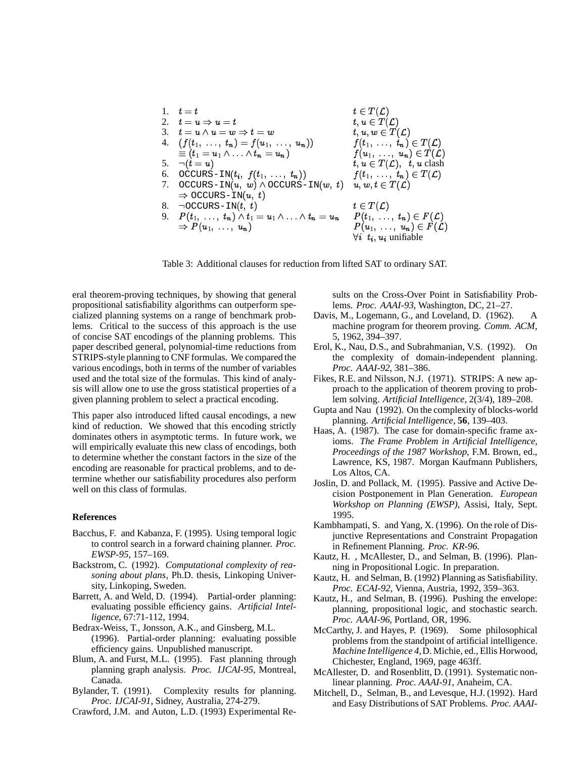1. 
$$
t = t
$$
  
\n2.  $t = u \Rightarrow u = t$   
\n3.  $t = u \land u = w \Rightarrow t = w$   
\n4.  $(f(t_1, ..., t_n) = f(u_1, ..., u_n))$   
\n $\equiv (t_1 = u_1 \land ... \land t_n = u_n)$   
\n5.  $\neg(t = u)$   
\n6. OCCURS-IN(t<sub>i</sub>,  $f(t_1, ..., t_n)$ )  
\n7. OCCURS-IN(u, w)  $\land$  OCCURS-IN(w, t)  $u, w, t \in T(\mathcal{L})$   
\n8.  $\neg$ OCCURS-IN(t, t)  
\n9.  $P(t_1, ..., t_n) \land t_1 = u_1 \land ... \land t_n = u_n$   
\n $\Rightarrow P(u_1, ..., u_n) \in F(\mathcal{L})$   
\n $\Rightarrow P(u_1, ..., u_n) \land t_1 = u_1 \land ... \land t_n = u_n$   
\n $\Rightarrow P(u_1, ..., u_n) \in F(\mathcal{L})$   
\n $\forall i \quad t_i, u_i$  unifiable

Table 3: Additional clauses for reduction from lifted SAT to ordinary SAT.

eral theorem-proving techniques, by showing that general propositional satisfiability algorithms can outperform specialized planning systems on a range of benchmark problems. Critical to the success of this approach is the use of concise SAT encodings of the planning problems. This paper described general, polynomial-time reductions from STRIPS-style planning to CNF formulas. We compared the various encodings, both in terms of the number of variables used and the total size of the formulas. This kind of analysis will allow one to use the gross statistical properties of a given planning problem to select a practical encoding.

This paper also introduced lifted causal encodings, a new kind of reduction. We showed that this encoding strictly dominates others in asymptotic terms. In future work, we will empirically evaluate this new class of encodings, both to determine whether the constant factors in the size of the encoding are reasonable for practical problems, and to determine whether our satisfiability procedures also perform well on this class of formulas.

#### **References**

- Bacchus, F. and Kabanza, F. (1995). Using temporal logic to control search in a forward chaining planner. *Proc. EWSP-95*, 157–169.
- Backstrom, C. (1992). *Computational complexity of reasoning about plans*, Ph.D. thesis, Linkoping University, Linkoping, Sweden.
- Barrett, A. and Weld, D. (1994). Partial-order planning: evaluating possible efficiency gains. *Artificial Intelligence*, 67:71-112, 1994.
- Bedrax-Weiss, T., Jonsson, A.K., and Ginsberg, M.L. (1996). Partial-order planning: evaluating possible efficiency gains. Unpublished manuscript.
- Blum, A. and Furst, M.L. (1995). Fast planning through planning graph analysis. *Proc. IJCAI-95*, Montreal, Canada.
- Bylander, T. (1991). Complexity results for planning. *Proc. IJCAI-91*, Sidney, Australia, 274-279.
- Crawford, J.M. and Auton, L.D. (1993) Experimental Re-

sults on the Cross-Over Point in Satisfiability Problems. *Proc. AAAI-93*, Washington, DC, 21–27.

- Davis, M., Logemann, G., and Loveland, D. (1962). A machine program for theorem proving. *Comm. ACM*, 5, 1962, 394–397.
- Erol, K., Nau, D.S., and Subrahmanian, V.S. (1992). On the complexity of domain-independent planning. *Proc. AAAI-92*, 381–386.
- Fikes, R.E. and Nilsson, N.J. (1971). STRIPS: A new approach to the application of theorem proving to problem solving. *Artificial Intelligence*, 2(3/4), 189–208.
- Gupta and Nau (1992). On the complexity of blocks-world planning. *Artificial Intelligence*, **56**, 139–403.
- Haas, A. (1987). The case for domain-specific frame axioms. *The Frame Problem in Artificial Intelligence, Proceedings of the 1987 Workshop*, F.M. Brown, ed., Lawrence, KS, 1987. Morgan Kaufmann Publishers, Los Altos, CA.
- Joslin, D. and Pollack, M. (1995). Passive and Active Decision Postponement in Plan Generation. *European Workshop on Planning (EWSP)*, Assisi, Italy, Sept. 1995.
- Kambhampati, S. and Yang, X. (1996). On the role of Disjunctive Representations and Constraint Propagation in Refinement Planning. *Proc. KR-96.*
- Kautz, H. , McAllester, D., and Selman, B. (1996). Planning in Propositional Logic. In preparation.
- Kautz, H. and Selman, B. (1992) Planning as Satisfiability. *Proc. ECAI-92*, Vienna, Austria, 1992, 359–363.
- Kautz, H., and Selman, B. (1996). Pushing the envelope: planning, propositional logic, and stochastic search. *Proc. AAAI-96*, Portland, OR, 1996.
- McCarthy, J. and Hayes, P. (1969). Some philosophical problems from the standpoint of artificial intelligence. *Machine Intelligence 4*,D. Michie, ed., Ellis Horwood, Chichester, England, 1969, page 463ff.
- McAllester, D. and Rosenblitt, D. (1991). Systematic nonlinear planning. *Proc. AAAI-91*, Anaheim, CA.
- Mitchell, D., Selman, B., and Levesque, H.J. (1992). Hard and Easy Distributions of SAT Problems. *Proc. AAAI-*